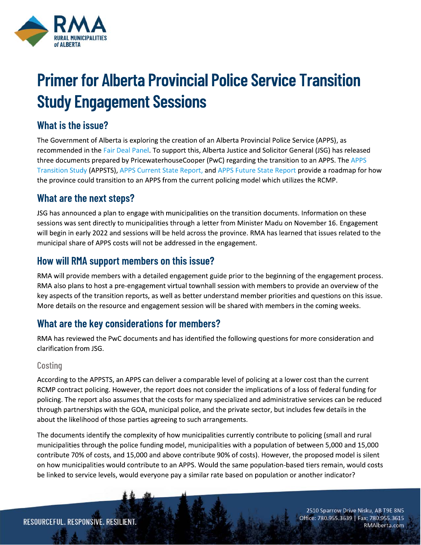

# **Primer for Alberta Provincial Police Service Transition Study Engagement Sessions**

## What is the issue?

The Government of Alberta is exploring the creation of an Alberta Provincial Police Service (APPS), as recommended in the Fair Deal Panel. To support this, Alberta Justice and Solicitor General (JSG) has released three documents prepared by PricewaterhouseCooper (PwC) regarding the transition to an APPS. The APPS Transition Study (APPSTS), APPS Current State Report, and APPS Future State Report provide a roadmap for how the province could transition to an APPS from the current policing model which utilizes the RCMP.

## What are the next steps?

JSG has announced a plan to engage with municipalities on the transition documents. Information on these sessions was sent directly to municipalities through a letter from Minister Madu on November 16. Engagement will begin in early 2022 and sessions will be held across the province. RMA has learned that issues related to the municipal share of APPS costs will not be addressed in the engagement.

## How will RMA support members on this issue?

RMA will provide members with a detailed engagement guide prior to the beginning of the engagement process. RMA also plans to host a pre-engagement virtual townhall session with members to provide an overview of the key aspects of the transition reports, as well as better understand member priorities and questions on this issue. More details on the resource and engagement session will be shared with members in the coming weeks.

## What are the key considerations for members?

RMA has reviewed the PwC documents and has identified the following questions for more consideration and clarification from JSG.

### Costing

According to the APPSTS, an APPS can deliver a comparable level of policing at a lower cost than the current RCMP contract policing. However, the report does not consider the implications of a loss of federal funding for policing. The report also assumes that the costs for many specialized and administrative services can be reduced through partnerships with the GOA, municipal police, and the private sector, but includes few details in the about the likelihood of those parties agreeing to such arrangements.

The documents identify the complexity of how municipalities currently contribute to policing (small and rural municipalities through the police funding model, municipalities with a population of between 5,000 and 15,000 contribute 70% of costs, and 15,000 and above contribute 90% of costs). However, the proposed model is silent on how municipalities would contribute to an APPS. Would the same population-based tiers remain, would costs be linked to service levels, would everyone pay a similar rate based on population or another indicator?

2510 Sparrow Drive Nisku, AB T9E 8N5 Office: 780.955.3639 | Fax: 780.955.3615 RMAlberta.com